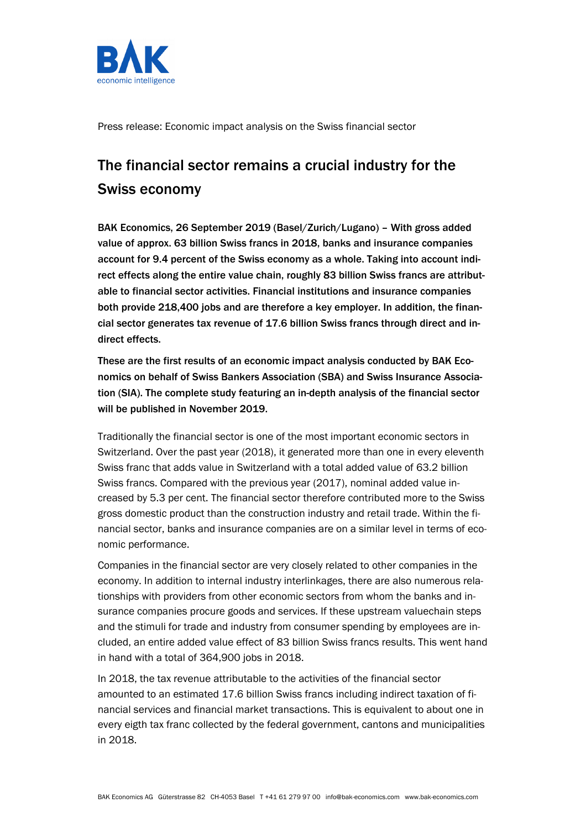

Press release: Economic impact analysis on the Swiss financial sector

# The financial sector remains a crucial industry for the Swiss economy

BAK Economics, 26 September 2019 (Basel/Zurich/Lugano) – With gross added value of approx. 63 billion Swiss francs in 2018, banks and insurance companies account for 9.4 percent of the Swiss economy as a whole. Taking into account indirect effects along the entire value chain, roughly 83 billion Swiss francs are attributable to financial sector activities. Financial institutions and insurance companies both provide 218,400 jobs and are therefore a key employer. In addition, the financial sector generates tax revenue of 17.6 billion Swiss francs through direct and indirect effects.

These are the first results of an economic impact analysis conducted by BAK Economics on behalf of Swiss Bankers Association (SBA) and Swiss Insurance Association (SIA). The complete study featuring an in-depth analysis of the financial sector will be published in November 2019.

Traditionally the financial sector is one of the most important economic sectors in Switzerland. Over the past year (2018), it generated more than one in every eleventh Swiss franc that adds value in Switzerland with a total added value of 63.2 billion Swiss francs. Compared with the previous year (2017), nominal added value increased by 5.3 per cent. The financial sector therefore contributed more to the Swiss gross domestic product than the construction industry and retail trade. Within the financial sector, banks and insurance companies are on a similar level in terms of economic performance.

Companies in the financial sector are very closely related to other companies in the economy. In addition to internal industry interlinkages, there are also numerous relationships with providers from other economic sectors from whom the banks and insurance companies procure goods and services. If these upstream valuechain steps and the stimuli for trade and industry from consumer spending by employees are included, an entire added value effect of 83 billion Swiss francs results. This went hand in hand with a total of 364,900 jobs in 2018.

In 2018, the tax revenue attributable to the activities of the financial sector amounted to an estimated 17.6 billion Swiss francs including indirect taxation of financial services and financial market transactions. This is equivalent to about one in every eigth tax franc collected by the federal government, cantons and municipalities in 2018.